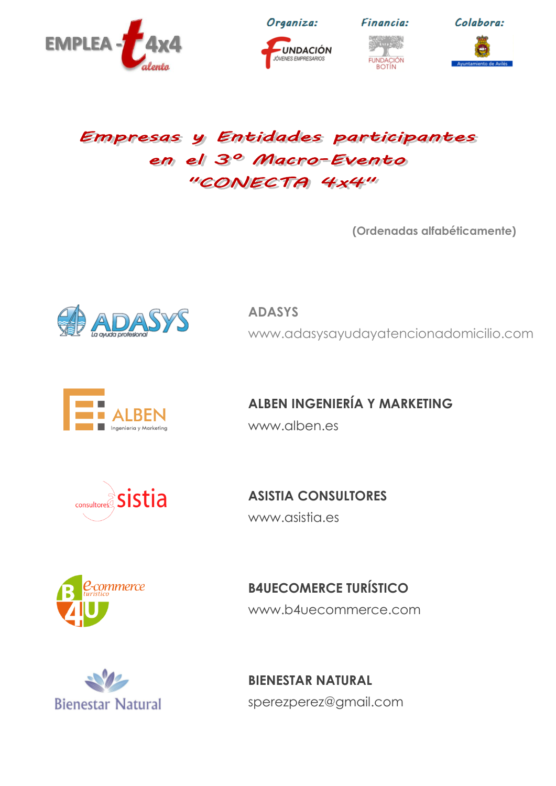

JNDACIÓN JÓVENES EMPRESARIOS





## Empresas y Entidades participantes em el 3º Macro-Evento "CONECTA 4x4"

**(Ordenadas alfabéticamente)**



**ADASYS** [www.adasysayudayatencionadomicilio.com](http://www.adasysayudayatencionadomicilio.com/)



**ALBEN INGENIERÍA Y MARKETING** [www.alben.es](http://www.alben.es/)



**ASISTIA CONSULTORES** [www.asistia.es](http://www.asistia.es/)



**B4UECOMERCE TURÍSTICO** [www.b4uecommerce.com](http://www.b4uecommerce.com/)



**BIENESTAR NATURAL** [sperezperez@gmail.com](mailto:sperezperez@gmail.com)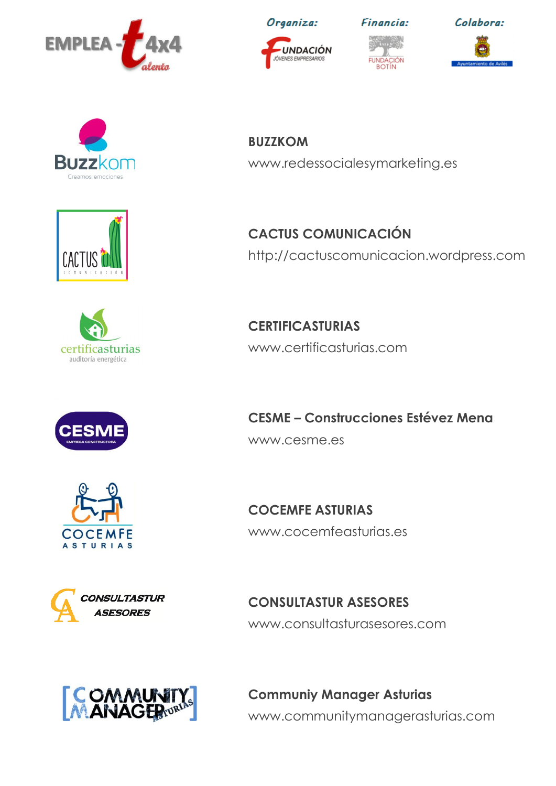



JÓVENES EMPRESARIOS













**COCEMFE ASTURIAS** 



**CACTUS COMUNICACIÓN** [http://cactuscomunicacion.wordpress.com](http://cactuscomunicacion.wordpress.com/)

**CERTIFICASTURIAS** [www.certificasturias.com](http://www.certificasturias.com/)

**CESME – Construcciones Estévez Mena** [www.cesme.es](http://www.cesme.es/)

**COCEMFE ASTURIAS** [www.cocemfeasturias.es](http://www.cocemfeasturias.es/)

**CONSULTASTUR** ASESORES

**CONSULTASTUR ASESORES** [www.consultasturasesores.com](http://www.consultasturasesores.com/)



**Communiy Manager Asturias** [www.communitymanagerasturias.com](http://www.communitymanagerasturias.com/)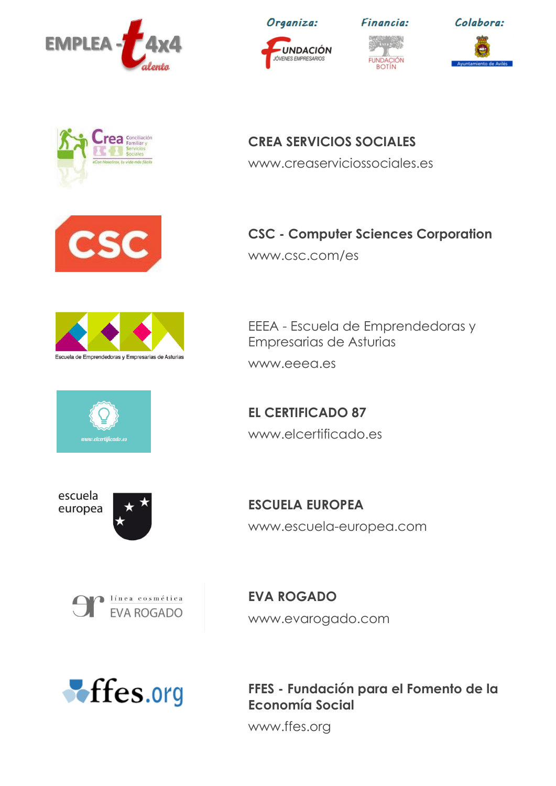

UNDACIÓN JÓVENES EMPRESARIOS







**CREA SERVICIOS SOCIALES** [www.creaserviciossociales.es](http://www.creaserviciossociales.es/)



**CSC - Computer Sciences Corporation** [www.csc.com/es](http://www.csc.com/es)

EEEA - Escuela de Emprendedoras y

Empresarias de Asturias

[www.eeea.es](http://www.eeea.es/)

**EL CERTIFICADO 87**

[www.elcertificado.es](http://www.elcertificado.es/)



elcertificado.es



escuela europea



**ESCUELA EUROPEA** [www.escuela-europea.com](http://www.escuela-europea.com/)



**EVA ROGADO** [www.evarogado.com](http://www.evarogado.com/)



**FFES - Fundación para el Fomento de la Economía Social**

[www.ffes.org](http://www.ffes.org/)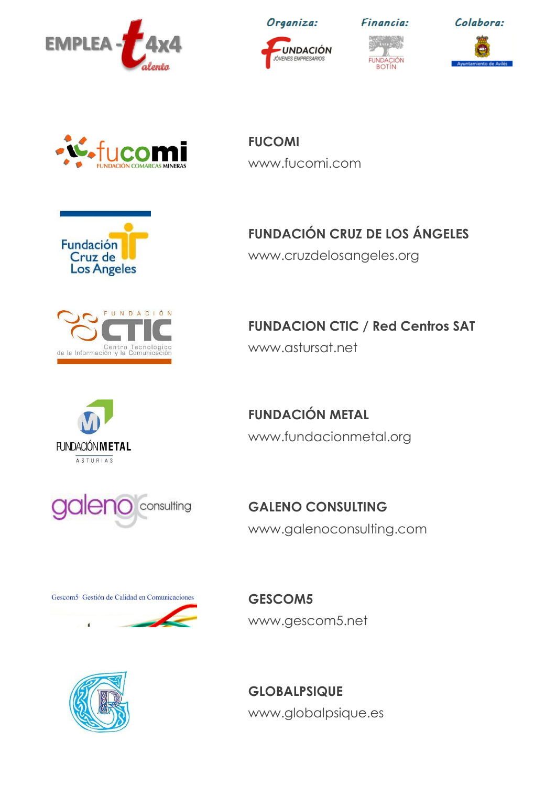

UNDACIÓN JÓVENES EMPRESARIOS

**FUCOMI**

[www.fucomi.com](http://www.fucomi.com/)







Fundación Cruz de











**GESCOM5** [www.gescom5.net](http://www.gescom5.net/)



**GLOBALPSIQUE** [www.globalpsique.es](http://www.globalpsique.es/)

**FUNDACIÓN CRUZ DE LOS ÁNGELES**

[www.cruzdelosangeles.org](http://www.cruzdelosangeles.org/)

**FUNDACION CTIC / Red Centros SAT** [www.astursat.net](http://www.astursat.net/)

**FUNDACIÓN METAL** [www.fundacionmetal.org](http://www.fundacionmetal.org/)

**GALENO CONSULTING** [www.galenoconsulting.com](http://www.galenoconsulting.com/)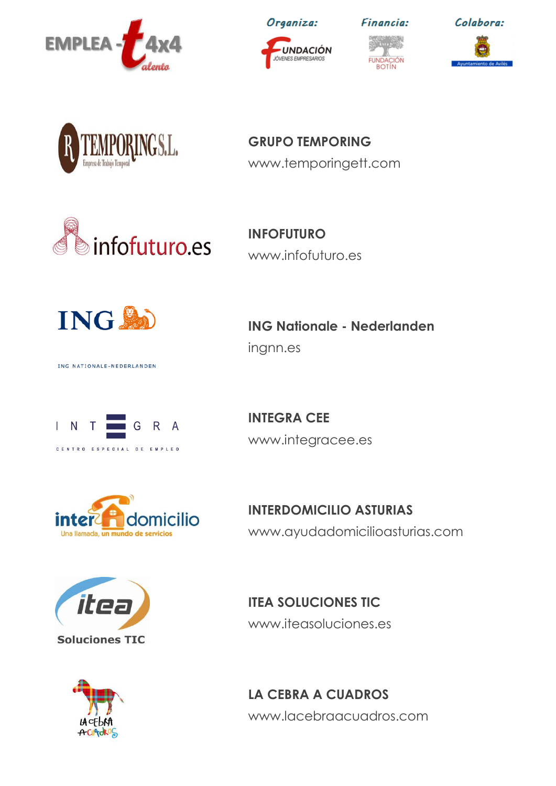

INDACIÓN JÓVENES EMPRESARIOS







**GRUPO TEMPORING** [www.temporingett.com](http://www.temporingett.com/)



**INFOFUTURO** [www.infofuturo.es](http://www.infofuturo.es/)



ING NATIONALE-NEDERLANDEN

**ING Nationale - Nederlanden**

<ingnn.es>



**INTEGRA CEE** [www.integracee.es](http://www.integracee.es/)



**INTERDOMICILIO ASTURIAS** [www.ayudadomicilioasturias.com](http://www.ayudadomicilioasturias.com/)





**ITEA SOLUCIONES TIC** [www.iteasoluciones.es](http://www.iteasoluciones.es/)

**LA CEBRA A CUADROS** [www.lacebraacuadros.com](http://www.lacebraacuadros.com/)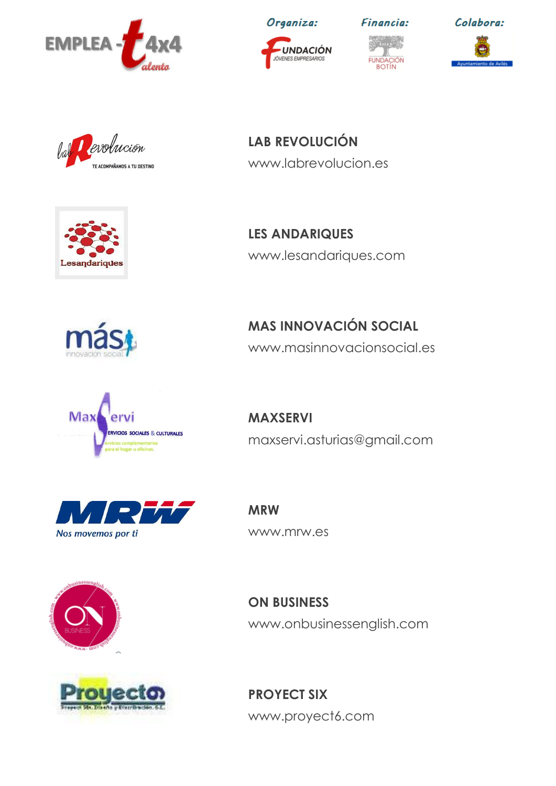

UNDACIÓN JÓVENES EMPRESARIOS



**Financia:** 

Colabora:

Devolución Val E ACOMPAÑAMOS A TU DESTINO



**LAB REVOLUCIÓN** [www.labrevolucion.es](http://www.labrevolucion.es/)

**LES ANDARIQUES** [www.lesandariques.com](http://www.lesandariques.com/)





[www.masinnovacionsocial.es](http://www.masinnovacionsocial.es/)

**MAS INNOVACIÓN SOCIAL**

[maxservi.asturias@gmail.com](mailto:maxservi.asturias@gmail.com)







**MRW** [www.mrw.es](http://www.mrw.es/)

**MAXSERVI**

**ON BUSINESS** [www.onbusinessenglish.com](http://www.onbusinessenglish.com/)

**PROYECT SIX** [www.proyect6.com](http://www.proyect6.com/)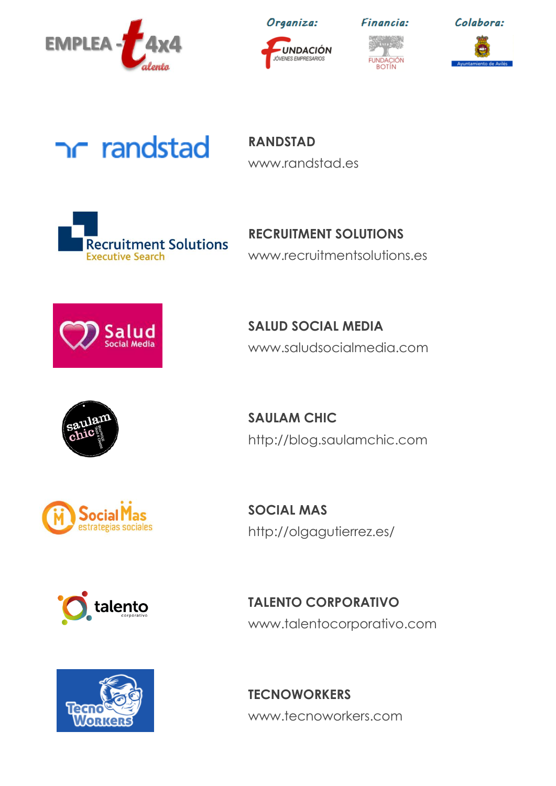

JNDACIÓN JÓVENES EMPRESARIOS



**Financia:** 

Colabora:

## randstad

**RANDSTAD** [www.randstad.es](http://www.randstad.es/)



**RECRUITMENT SOLUTIONS** [www.recruitmentsolutions.es](http://www.recruitmentsolutions.es/)



**SALUD SOCIAL MEDIA** [www.saludsocialmedia.com](http://www.saludsocialmedia.com/)



**SAULAM CHIC** [http://blog.saulamchic.com](http://blog.saulamchic.com/)



talento



**SOCIAL MAS** <http://olgagutierrez.es/>

**TALENTO CORPORATIVO** [www.talentocorporativo.com](http://www.talentocorporativo.com/)

**TECNOWORKERS** [www.tecnoworkers.com](http://www.tecnoworkers.com/)